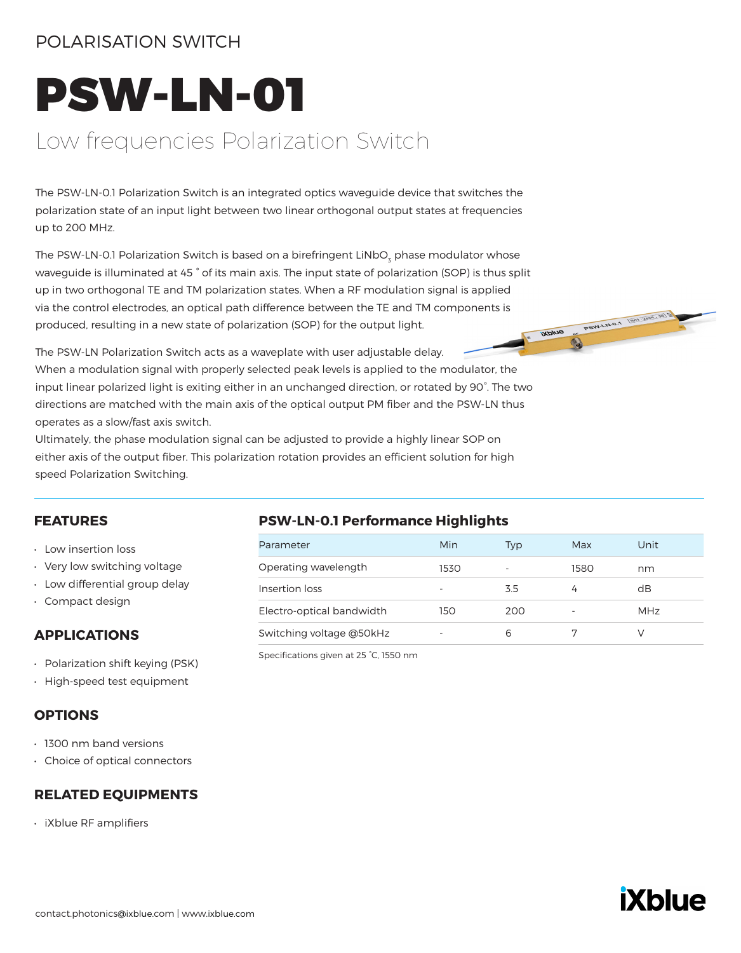### POLARISATION SWITCH

# PSW-LN-01

# Low frequencies Polarization Switch

The PSW-LN-0.1 Polarization Switch is an integrated optics waveguide device that switches the polarization state of an input light between two linear orthogonal output states at frequencies up to 200 MHz.

The PSW-LN-0.1 Polarization Switch is based on a birefringent LiNbO $_{\textrm{\tiny{3}}}$  phase modulator whose waveguide is illuminated at 45 ° of its main axis. The input state of polarization (SOP) is thus split up in two orthogonal TE and TM polarization states. When a RF modulation signal is applied via the control electrodes, an optical path difference between the TE and TM components is<br>produced, resulting in a new state of polarization (SOP) for the output light.<br>The PSW-LN Polarization Switch and produced, resulting in a new state of polarization (SOP) for the output light.

The PSW-LN Polarization Switch acts as a waveplate with user adjustable delay. When a modulation signal with properly selected peak levels is applied to the modulator, the input linear polarized light is exiting either in an unchanged direction, or rotated by 90°. The two directions are matched with the main axis of the optical output PM fiber and the PSW-LN thus operates as a slow/fast axis switch.

Ultimately, the phase modulation signal can be adjusted to provide a highly linear SOP on either axis of the output fiber. This polarization rotation provides an efficient solution for high speed Polarization Switching.

### **FEATURES**

- Low insertion loss
- Very low switching voltage
- Low differential group delay
- Compact design

### **APPLICATIONS**

- Polarization shift keying (PSK)
- High-speed test equipment

### **OPTIONS**

- 1300 nm band versions
- Choice of optical connectors

### **RELATED EQUIPMENTS**

• iXblue RF amplifiers

### **PSW-LN-0.1 Performance Highlights**

| Parameter                 | Min  | Typ                      | Max  | Unit |
|---------------------------|------|--------------------------|------|------|
| Operating wavelength      | 1530 | $\overline{\phantom{a}}$ | 1580 | nm   |
| Insertion loss            |      | 3.5                      |      | dB   |
| Electro-optical bandwidth | 150  | 200                      |      | MHz  |
| Switching voltage @50kHz  |      | 6                        |      |      |

Specifications given at 25 °C, 1550 nm

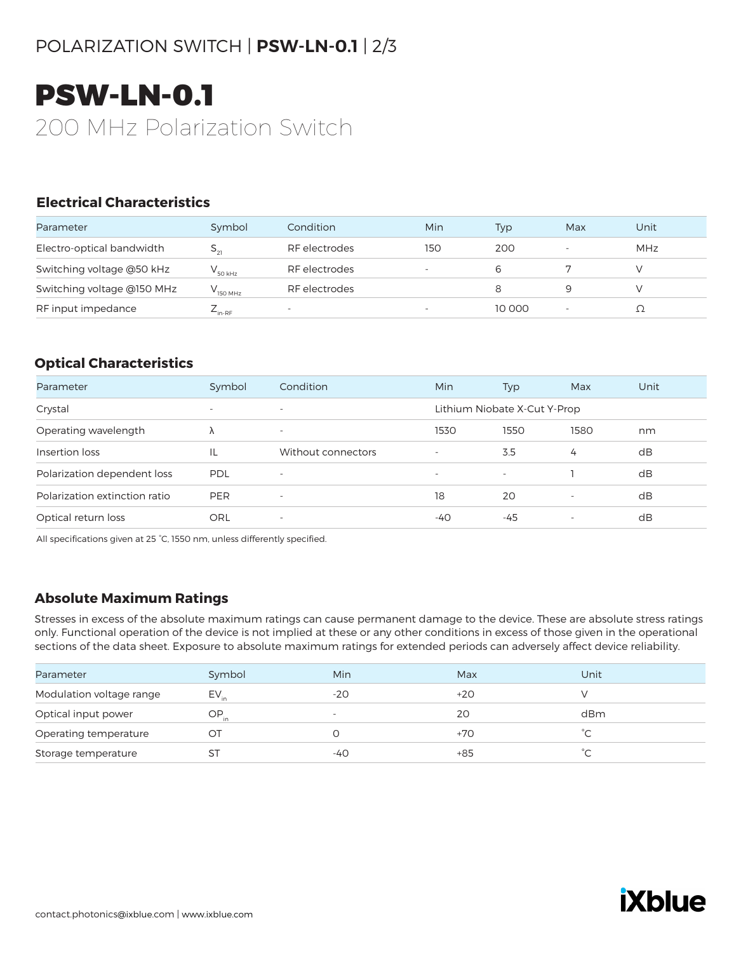# POLARIZATION SWITCH | **PSW-LN-0.1** | 2/3

# PSW-LN-0.1 200 MHz Polarization Switch

### **Electrical Characteristics**

| Parameter                  | Symbol                    | Condition                | Min                      | Typ    | Max                      | Unit       |
|----------------------------|---------------------------|--------------------------|--------------------------|--------|--------------------------|------------|
| Electro-optical bandwidth  |                           | RF electrodes            | 150                      | 200    | $\overline{\phantom{a}}$ | <b>MHz</b> |
| Switching voltage @50 kHz  | 50 kHz                    | RF electrodes            | $\overline{\phantom{a}}$ | 6      |                          |            |
| Switching voltage @150 MHz | 150 MHz                   | RF electrodes            |                          |        |                          |            |
| RF input impedance         | $\angle$ <sub>in-RF</sub> | $\overline{\phantom{0}}$ | $\overline{\phantom{a}}$ | 10 000 | $\overline{\phantom{a}}$ |            |

### **Optical Characteristics**

| Parameter                     | Symbol                   | Condition                | Min                      | Typ                          | Max                      | Unit |
|-------------------------------|--------------------------|--------------------------|--------------------------|------------------------------|--------------------------|------|
| Crystal                       | $\overline{\phantom{0}}$ | $\overline{\phantom{0}}$ |                          | Lithium Niobate X-Cut Y-Prop |                          |      |
| Operating wavelength          | Λ                        | $\overline{\phantom{a}}$ | 1530                     | 1550                         | 1580                     | nm   |
| Insertion loss                | IL                       | Without connectors       | $\overline{\phantom{0}}$ | 3.5                          | 4                        | dB   |
| Polarization dependent loss   | PDL                      | $\overline{\phantom{a}}$ | $\overline{\phantom{a}}$ | $\overline{\phantom{a}}$     |                          | dB   |
| Polarization extinction ratio | <b>PER</b>               | $\overline{\phantom{a}}$ | 18                       | 20                           |                          | dB   |
| Optical return loss           | ORL                      | $\overline{\phantom{a}}$ | -40                      | -45                          | $\overline{\phantom{a}}$ | dB   |

All specifications given at 25 °C, 1550 nm, unless differently specified.

### **Absolute Maximum Ratings**

Stresses in excess of the absolute maximum ratings can cause permanent damage to the device. These are absolute stress ratings only. Functional operation of the device is not implied at these or any other conditions in excess of those given in the operational sections of the data sheet. Exposure to absolute maximum ratings for extended periods can adversely affect device reliability.

| Parameter                | Symbol    | Min                      | Max   | Unit |
|--------------------------|-----------|--------------------------|-------|------|
| Modulation voltage range | $EV_{in}$ | $-20$                    | $+20$ |      |
| Optical input power      | $OP_{in}$ | $\overline{\phantom{a}}$ | 20    | dBm  |
| Operating temperature    | ОТ        |                          | $+70$ |      |
| Storage temperature      | ST        | -40                      | $+85$ | °∩   |